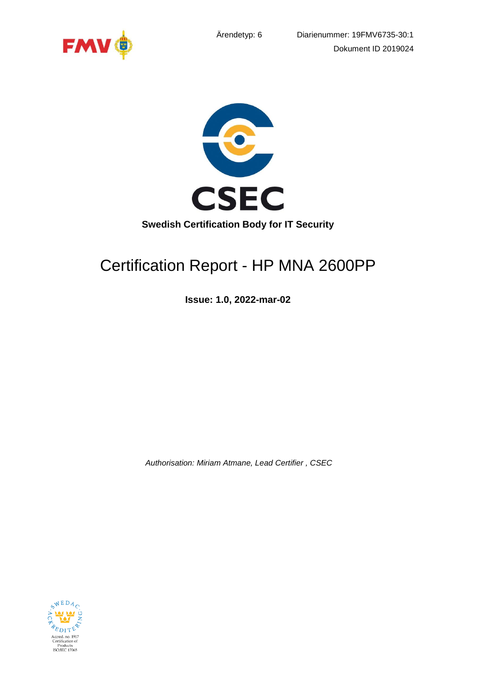





# Certification Report - HP MNA 2600PP

**Issue: 1.0, 2022-mar-02**

*Authorisation: Miriam Atmane, Lead Certifier , CSEC*

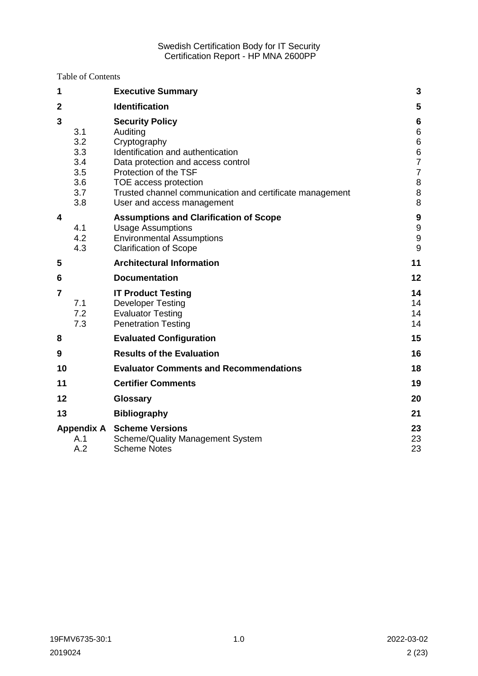Table of Contents

| 1              |                                                      | <b>Executive Summary</b>                                                                                                                                                                                                                                                  | 3                                                                           |
|----------------|------------------------------------------------------|---------------------------------------------------------------------------------------------------------------------------------------------------------------------------------------------------------------------------------------------------------------------------|-----------------------------------------------------------------------------|
| $\mathbf{2}$   |                                                      | <b>Identification</b>                                                                                                                                                                                                                                                     | 5                                                                           |
| 3              | 3.1<br>3.2<br>3.3<br>3.4<br>3.5<br>3.6<br>3.7<br>3.8 | <b>Security Policy</b><br>Auditing<br>Cryptography<br>Identification and authentication<br>Data protection and access control<br>Protection of the TSF<br>TOE access protection<br>Trusted channel communication and certificate management<br>User and access management | 6<br>$\,6$<br>$\,6$<br>$\frac{6}{7}$<br>$\overline{7}$<br>$\bf 8$<br>8<br>8 |
| 4              | 4.1<br>4.2<br>4.3                                    | <b>Assumptions and Clarification of Scope</b><br><b>Usage Assumptions</b><br><b>Environmental Assumptions</b><br><b>Clarification of Scope</b>                                                                                                                            | 9<br>$\boldsymbol{9}$<br>$\boldsymbol{9}$<br>9                              |
| 5              |                                                      | <b>Architectural Information</b>                                                                                                                                                                                                                                          | 11                                                                          |
| 6              |                                                      | <b>Documentation</b>                                                                                                                                                                                                                                                      | 12                                                                          |
| $\overline{7}$ | 7.1<br>7.2<br>7.3                                    | <b>IT Product Testing</b><br><b>Developer Testing</b><br><b>Evaluator Testing</b><br><b>Penetration Testing</b>                                                                                                                                                           | 14<br>14<br>14<br>14                                                        |
| 8              |                                                      | <b>Evaluated Configuration</b>                                                                                                                                                                                                                                            | 15                                                                          |
| 9              |                                                      | <b>Results of the Evaluation</b>                                                                                                                                                                                                                                          | 16                                                                          |
| 10             |                                                      | <b>Evaluator Comments and Recommendations</b>                                                                                                                                                                                                                             | 18                                                                          |
| 11             |                                                      | <b>Certifier Comments</b>                                                                                                                                                                                                                                                 | 19                                                                          |
| 12             |                                                      | <b>Glossary</b>                                                                                                                                                                                                                                                           | 20                                                                          |
| 13             |                                                      | <b>Bibliography</b>                                                                                                                                                                                                                                                       | 21                                                                          |
|                | <b>Appendix A</b><br>A.1<br>A.2                      | <b>Scheme Versions</b><br>Scheme/Quality Management System<br><b>Scheme Notes</b>                                                                                                                                                                                         | 23<br>23<br>23                                                              |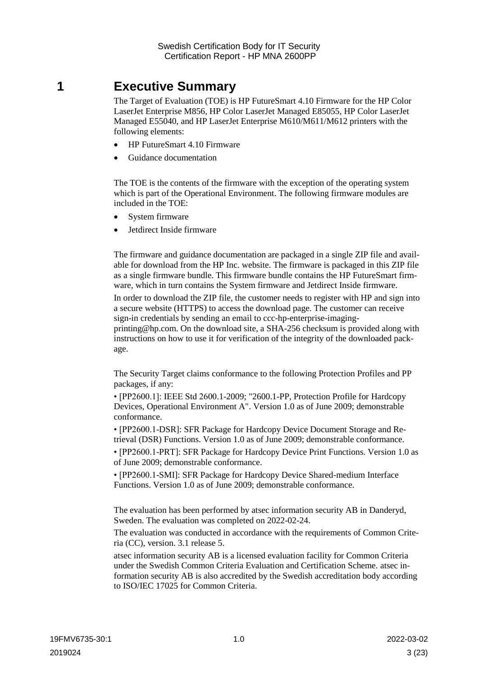# <span id="page-2-0"></span>**1 Executive Summary**

The Target of Evaluation (TOE) is HP FutureSmart 4.10 Firmware for the HP Color LaserJet Enterprise M856, HP Color LaserJet Managed E85055, HP Color LaserJet Managed E55040, and HP LaserJet Enterprise M610/M611/M612 printers with the following elements:

- HP FutureSmart 4.10 Firmware
- Guidance documentation

The TOE is the contents of the firmware with the exception of the operating system which is part of the Operational Environment. The following firmware modules are included in the TOE:

- System firmware
- Jetdirect Inside firmware

The firmware and guidance documentation are packaged in a single ZIP file and available for download from the HP Inc. website. The firmware is packaged in this ZIP file as a single firmware bundle. This firmware bundle contains the HP FutureSmart firmware, which in turn contains the System firmware and Jetdirect Inside firmware.

In order to download the ZIP file, the customer needs to register with HP and sign into a secure website (HTTPS) to access the download page. The customer can receive sign-in credentials by sending an email to ccc-hp-enterprise-imaging-

printing@hp.com. On the download site, a SHA-256 checksum is provided along with instructions on how to use it for verification of the integrity of the downloaded package.

The Security Target claims conformance to the following Protection Profiles and PP packages, if any:

• [PP2600.1]: IEEE Std 2600.1-2009; "2600.1-PP, Protection Profile for Hardcopy Devices, Operational Environment A". Version 1.0 as of June 2009; demonstrable conformance.

• [PP2600.1-DSR]: SFR Package for Hardcopy Device Document Storage and Retrieval (DSR) Functions. Version 1.0 as of June 2009; demonstrable conformance.

• [PP2600.1-PRT]: SFR Package for Hardcopy Device Print Functions. Version 1.0 as of June 2009; demonstrable conformance.

• [PP2600.1-SMI]: SFR Package for Hardcopy Device Shared-medium Interface Functions. Version 1.0 as of June 2009; demonstrable conformance.

The evaluation has been performed by atsec information security AB in Danderyd, Sweden. The evaluation was completed on 2022-02-24.

The evaluation was conducted in accordance with the requirements of Common Criteria (CC), version. 3.1 release 5.

atsec information security AB is a licensed evaluation facility for Common Criteria under the Swedish Common Criteria Evaluation and Certification Scheme. atsec information security AB is also accredited by the Swedish accreditation body according to ISO/IEC 17025 for Common Criteria.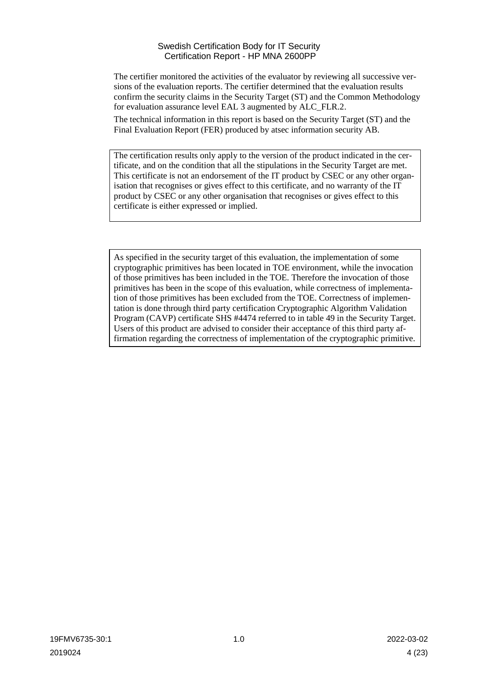The certifier monitored the activities of the evaluator by reviewing all successive versions of the evaluation reports. The certifier determined that the evaluation results confirm the security claims in the Security Target (ST) and the Common Methodology for evaluation assurance level EAL 3 augmented by ALC\_FLR.2.

The technical information in this report is based on the Security Target (ST) and the Final Evaluation Report (FER) produced by atsec information security AB.

The certification results only apply to the version of the product indicated in the certificate, and on the condition that all the stipulations in the Security Target are met. This certificate is not an endorsement of the IT product by CSEC or any other organisation that recognises or gives effect to this certificate, and no warranty of the IT product by CSEC or any other organisation that recognises or gives effect to this certificate is either expressed or implied.

As specified in the security target of this evaluation, the implementation of some cryptographic primitives has been located in TOE environment, while the invocation of those primitives has been included in the TOE. Therefore the invocation of those primitives has been in the scope of this evaluation, while correctness of implementation of those primitives has been excluded from the TOE. Correctness of implementation is done through third party certification Cryptographic Algorithm Validation Program (CAVP) certificate SHS #4474 referred to in table 49 in the Security Target. Users of this product are advised to consider their acceptance of this third party affirmation regarding the correctness of implementation of the cryptographic primitive.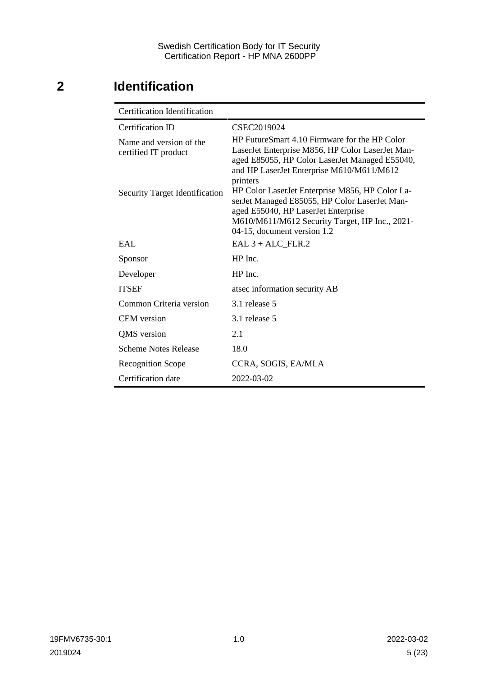# <span id="page-4-0"></span>**2 Identification**

| <b>Certification Identification</b>             |                                                                                                                                                                                                                          |  |  |
|-------------------------------------------------|--------------------------------------------------------------------------------------------------------------------------------------------------------------------------------------------------------------------------|--|--|
| Certification ID                                | CSEC2019024                                                                                                                                                                                                              |  |  |
| Name and version of the<br>certified IT product | HP FutureSmart 4.10 Firmware for the HP Color<br>LaserJet Enterprise M856, HP Color LaserJet Man-<br>aged E85055, HP Color LaserJet Managed E55040,<br>and HP LaserJet Enterprise M610/M611/M612<br>printers             |  |  |
| <b>Security Target Identification</b>           | HP Color LaserJet Enterprise M856, HP Color La-<br>serJet Managed E85055, HP Color LaserJet Man-<br>aged E55040, HP LaserJet Enterprise<br>M610/M611/M612 Security Target, HP Inc., 2021-<br>04-15, document version 1.2 |  |  |
| EAI.                                            | $EAL 3 + ALC$ FLR.2                                                                                                                                                                                                      |  |  |
| Sponsor                                         | $HP$ Inc.                                                                                                                                                                                                                |  |  |
| Developer                                       | HP Inc.                                                                                                                                                                                                                  |  |  |
| <b>ITSEF</b>                                    | atsec information security AB                                                                                                                                                                                            |  |  |
| Common Criteria version                         | 3.1 release 5                                                                                                                                                                                                            |  |  |
| <b>CEM</b> version                              | 3.1 release 5                                                                                                                                                                                                            |  |  |
| QMS version                                     | 2.1                                                                                                                                                                                                                      |  |  |
| <b>Scheme Notes Release</b>                     | 18.0                                                                                                                                                                                                                     |  |  |
| <b>Recognition Scope</b>                        | CCRA, SOGIS, EA/MLA                                                                                                                                                                                                      |  |  |
| Certification date                              | 2022-03-02                                                                                                                                                                                                               |  |  |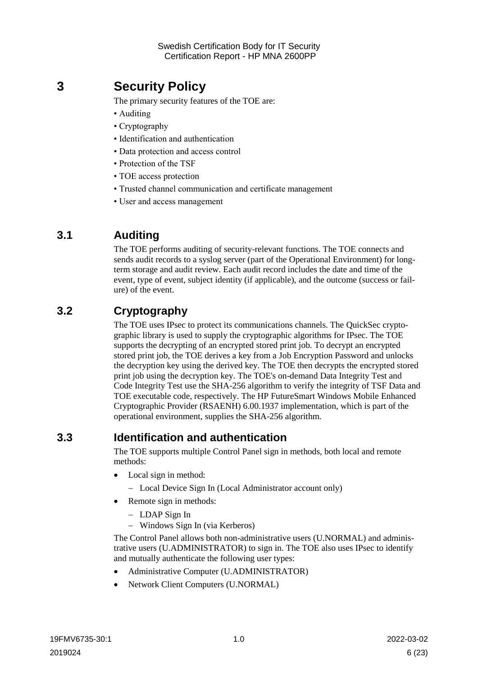# <span id="page-5-0"></span>**3 Security Policy**

The primary security features of the TOE are:

- Auditing
- Cryptography
- Identification and authentication
- Data protection and access control
- Protection of the TSF
- TOE access protection
- Trusted channel communication and certificate management
- User and access management

### <span id="page-5-1"></span>**3.1 Auditing**

The TOE performs auditing of security-relevant functions. The TOE connects and sends audit records to a syslog server (part of the Operational Environment) for longterm storage and audit review. Each audit record includes the date and time of the event, type of event, subject identity (if applicable), and the outcome (success or failure) of the event.

### <span id="page-5-2"></span>**3.2 Cryptography**

The TOE uses IPsec to protect its communications channels. The QuickSec cryptographic library is used to supply the cryptographic algorithms for IPsec. The TOE supports the decrypting of an encrypted stored print job. To decrypt an encrypted stored print job, the TOE derives a key from a Job Encryption Password and unlocks the decryption key using the derived key. The TOE then decrypts the encrypted stored print job using the decryption key. The TOE's on-demand Data Integrity Test and Code Integrity Test use the SHA-256 algorithm to verify the integrity of TSF Data and TOE executable code, respectively. The HP FutureSmart Windows Mobile Enhanced Cryptographic Provider (RSAENH) 6.00.1937 implementation, which is part of the operational environment, supplies the SHA-256 algorithm.

### <span id="page-5-3"></span>**3.3 Identification and authentication**

The TOE supports multiple Control Panel sign in methods, both local and remote methods:

- Local sign in method:
	- Local Device Sign In (Local Administrator account only)
- Remote sign in methods:
	- LDAP Sign In
	- Windows Sign In (via Kerberos)

The Control Panel allows both non-administrative users (U.NORMAL) and administrative users (U.ADMINISTRATOR) to sign in. The TOE also uses IPsec to identify and mutually authenticate the following user types:

- Administrative Computer (U.ADMINISTRATOR)
- Network Client Computers (U.NORMAL)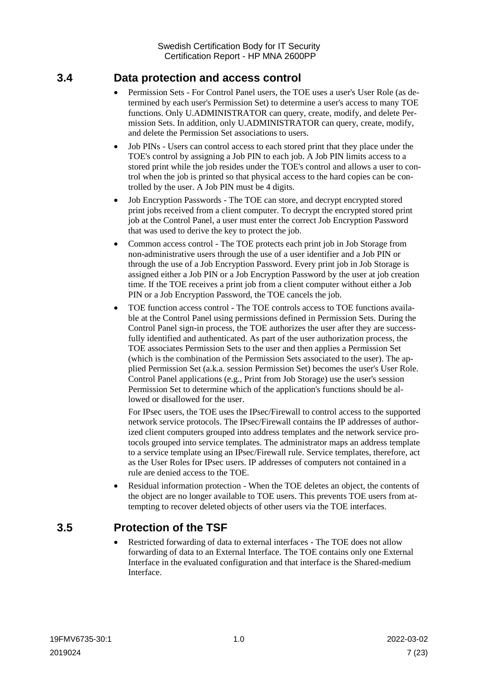### <span id="page-6-0"></span>**3.4 Data protection and access control**

- Permission Sets For Control Panel users, the TOE uses a user's User Role (as determined by each user's Permission Set) to determine a user's access to many TOE functions. Only U.ADMINISTRATOR can query, create, modify, and delete Permission Sets. In addition, only U.ADMINISTRATOR can query, create, modify, and delete the Permission Set associations to users.
- Job PINs Users can control access to each stored print that they place under the TOE's control by assigning a Job PIN to each job. A Job PIN limits access to a stored print while the job resides under the TOE's control and allows a user to control when the job is printed so that physical access to the hard copies can be controlled by the user. A Job PIN must be 4 digits.
- Job Encryption Passwords The TOE can store, and decrypt encrypted stored print jobs received from a client computer. To decrypt the encrypted stored print job at the Control Panel, a user must enter the correct Job Encryption Password that was used to derive the key to protect the job.
- Common access control The TOE protects each print job in Job Storage from non-administrative users through the use of a user identifier and a Job PIN or through the use of a Job Encryption Password. Every print job in Job Storage is assigned either a Job PIN or a Job Encryption Password by the user at job creation time. If the TOE receives a print job from a client computer without either a Job PIN or a Job Encryption Password, the TOE cancels the job.
- TOE function access control The TOE controls access to TOE functions available at the Control Panel using permissions defined in Permission Sets. During the Control Panel sign-in process, the TOE authorizes the user after they are successfully identified and authenticated. As part of the user authorization process, the TOE associates Permission Sets to the user and then applies a Permission Set (which is the combination of the Permission Sets associated to the user). The applied Permission Set (a.k.a. session Permission Set) becomes the user's User Role. Control Panel applications (e.g., Print from Job Storage) use the user's session Permission Set to determine which of the application's functions should be allowed or disallowed for the user.

For IPsec users, the TOE uses the IPsec/Firewall to control access to the supported network service protocols. The IPsec/Firewall contains the IP addresses of authorized client computers grouped into address templates and the network service protocols grouped into service templates. The administrator maps an address template to a service template using an IPsec/Firewall rule. Service templates, therefore, act as the User Roles for IPsec users. IP addresses of computers not contained in a rule are denied access to the TOE.

 Residual information protection - When the TOE deletes an object, the contents of the object are no longer available to TOE users. This prevents TOE users from attempting to recover deleted objects of other users via the TOE interfaces.

### <span id="page-6-1"></span>**3.5 Protection of the TSF**

 Restricted forwarding of data to external interfaces - The TOE does not allow forwarding of data to an External Interface. The TOE contains only one External Interface in the evaluated configuration and that interface is the Shared-medium Interface.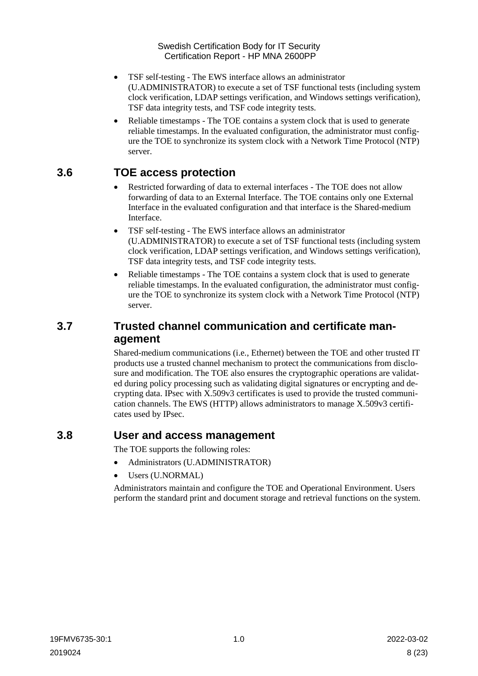- TSF self-testing The EWS interface allows an administrator (U.ADMINISTRATOR) to execute a set of TSF functional tests (including system clock verification, LDAP settings verification, and Windows settings verification), TSF data integrity tests, and TSF code integrity tests.
- Reliable timestamps The TOE contains a system clock that is used to generate reliable timestamps. In the evaluated configuration, the administrator must configure the TOE to synchronize its system clock with a Network Time Protocol (NTP) server.

### <span id="page-7-0"></span>**3.6 TOE access protection**

- Restricted forwarding of data to external interfaces The TOE does not allow forwarding of data to an External Interface. The TOE contains only one External Interface in the evaluated configuration and that interface is the Shared-medium Interface.
- TSF self-testing The EWS interface allows an administrator (U.ADMINISTRATOR) to execute a set of TSF functional tests (including system clock verification, LDAP settings verification, and Windows settings verification), TSF data integrity tests, and TSF code integrity tests.
- Reliable timestamps The TOE contains a system clock that is used to generate reliable timestamps. In the evaluated configuration, the administrator must configure the TOE to synchronize its system clock with a Network Time Protocol (NTP) server.

### <span id="page-7-1"></span>**3.7 Trusted channel communication and certificate management**

Shared-medium communications (i.e., Ethernet) between the TOE and other trusted IT products use a trusted channel mechanism to protect the communications from disclosure and modification. The TOE also ensures the cryptographic operations are validated during policy processing such as validating digital signatures or encrypting and decrypting data. IPsec with X.509v3 certificates is used to provide the trusted communication channels. The EWS (HTTP) allows administrators to manage X.509v3 certificates used by IPsec.

### <span id="page-7-2"></span>**3.8 User and access management**

The TOE supports the following roles:

- Administrators (U.ADMINISTRATOR)
- Users (U.NORMAL)

Administrators maintain and configure the TOE and Operational Environment. Users perform the standard print and document storage and retrieval functions on the system.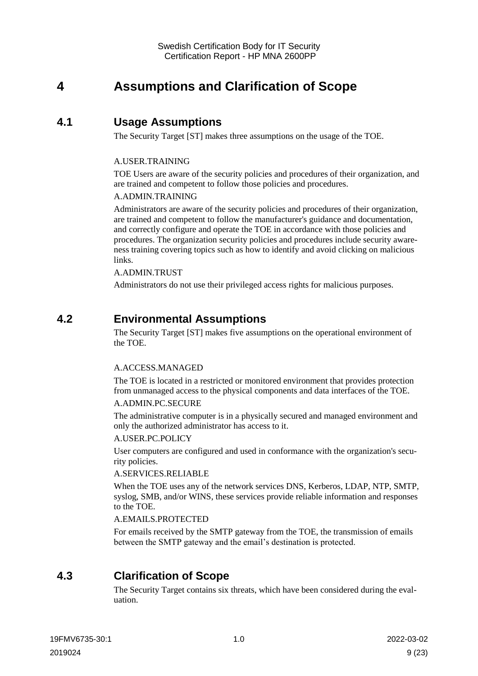# <span id="page-8-0"></span>**4 Assumptions and Clarification of Scope**

### <span id="page-8-1"></span>**4.1 Usage Assumptions**

The Security Target [ST] makes three assumptions on the usage of the TOE.

#### A.USER.TRAINING

TOE Users are aware of the security policies and procedures of their organization, and are trained and competent to follow those policies and procedures.

#### A.ADMIN.TRAINING

Administrators are aware of the security policies and procedures of their organization, are trained and competent to follow the manufacturer's guidance and documentation, and correctly configure and operate the TOE in accordance with those policies and procedures. The organization security policies and procedures include security awareness training covering topics such as how to identify and avoid clicking on malicious links.

#### A.ADMIN.TRUST

Administrators do not use their privileged access rights for malicious purposes.

### <span id="page-8-2"></span>**4.2 Environmental Assumptions**

The Security Target [ST] makes five assumptions on the operational environment of the TOE.

#### A.ACCESS.MANAGED

The TOE is located in a restricted or monitored environment that provides protection from unmanaged access to the physical components and data interfaces of the TOE.

#### A.ADMIN.PC.SECURE

The administrative computer is in a physically secured and managed environment and only the authorized administrator has access to it.

#### A.USER.PC.POLICY

User computers are configured and used in conformance with the organization's security policies.

#### A.SERVICES.RELIABLE

When the TOE uses any of the network services DNS, Kerberos, LDAP, NTP, SMTP, syslog, SMB, and/or WINS, these services provide reliable information and responses to the TOE.

#### A.EMAILS.PROTECTED

For emails received by the SMTP gateway from the TOE, the transmission of emails between the SMTP gateway and the email's destination is protected.

# <span id="page-8-3"></span>**4.3 Clarification of Scope**

The Security Target contains six threats, which have been considered during the evaluation.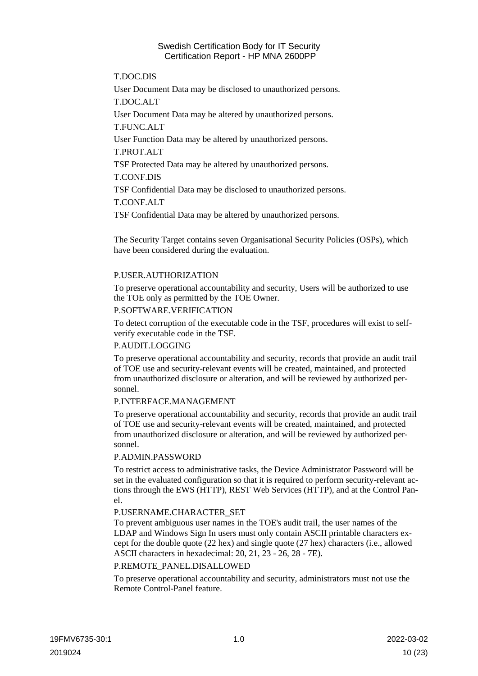#### T.DOC.DIS

User Document Data may be disclosed to unauthorized persons.

T.DOC.ALT

User Document Data may be altered by unauthorized persons.

T.FUNC.ALT

User Function Data may be altered by unauthorized persons.

T.PROT.ALT

TSF Protected Data may be altered by unauthorized persons.

T.CONF.DIS

TSF Confidential Data may be disclosed to unauthorized persons.

T.CONF.ALT

TSF Confidential Data may be altered by unauthorized persons.

The Security Target contains seven Organisational Security Policies (OSPs), which have been considered during the evaluation.

#### P.USER.AUTHORIZATION

To preserve operational accountability and security, Users will be authorized to use the TOE only as permitted by the TOE Owner.

#### P.SOFTWARE.VERIFICATION

To detect corruption of the executable code in the TSF, procedures will exist to selfverify executable code in the TSF.

#### P.AUDIT.LOGGING

To preserve operational accountability and security, records that provide an audit trail of TOE use and security-relevant events will be created, maintained, and protected from unauthorized disclosure or alteration, and will be reviewed by authorized personnel.

#### P.INTERFACE.MANAGEMENT

To preserve operational accountability and security, records that provide an audit trail of TOE use and security-relevant events will be created, maintained, and protected from unauthorized disclosure or alteration, and will be reviewed by authorized personnel.

#### P.ADMIN.PASSWORD

To restrict access to administrative tasks, the Device Administrator Password will be set in the evaluated configuration so that it is required to perform security-relevant actions through the EWS (HTTP), REST Web Services (HTTP), and at the Control Panel.

#### P.USERNAME.CHARACTER\_SET

To prevent ambiguous user names in the TOE's audit trail, the user names of the LDAP and Windows Sign In users must only contain ASCII printable characters except for the double quote (22 hex) and single quote (27 hex) characters (i.e., allowed ASCII characters in hexadecimal: 20, 21, 23 - 26, 28 - 7E).

#### P.REMOTE\_PANEL.DISALLOWED

To preserve operational accountability and security, administrators must not use the Remote Control-Panel feature.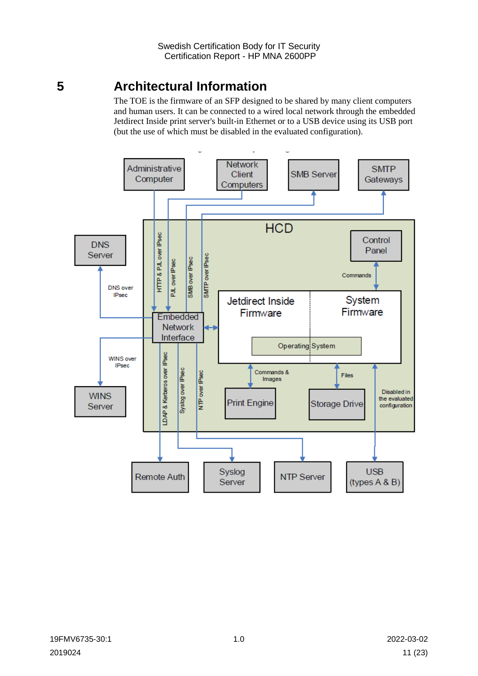# <span id="page-10-0"></span>**5 Architectural Information**

The TOE is the firmware of an SFP designed to be shared by many client computers and human users. It can be connected to a wired local network through the embedded Jetdirect Inside print server's built-in Ethernet or to a USB device using its USB port (but the use of which must be disabled in the evaluated configuration).

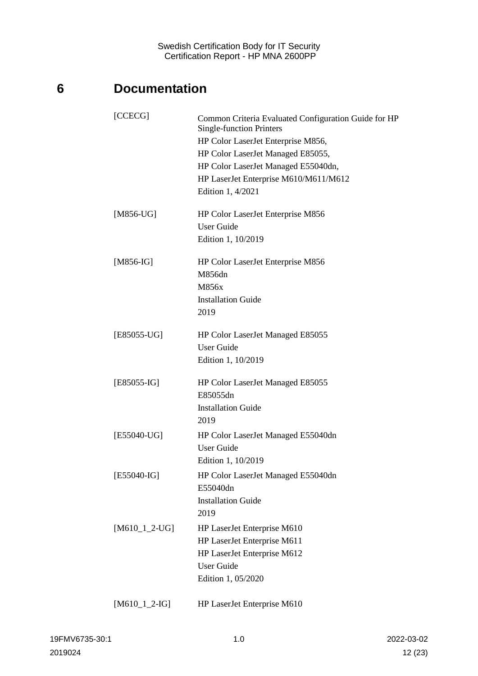# <span id="page-11-0"></span>**6 Documentation**

| [CCECG]         | Common Criteria Evaluated Configuration Guide for HP<br><b>Single-function Printers</b><br>HP Color LaserJet Enterprise M856,<br>HP Color LaserJet Managed E85055,<br>HP Color LaserJet Managed E55040dn,<br>HP LaserJet Enterprise M610/M611/M612<br>Edition 1, 4/2021 |
|-----------------|-------------------------------------------------------------------------------------------------------------------------------------------------------------------------------------------------------------------------------------------------------------------------|
| $[M856-UG]$     | HP Color LaserJet Enterprise M856<br><b>User Guide</b><br>Edition 1, 10/2019                                                                                                                                                                                            |
| $[M856-IG]$     | HP Color LaserJet Enterprise M856<br>M856dn<br>M856x<br><b>Installation Guide</b><br>2019                                                                                                                                                                               |
| $[E85055-UG]$   | HP Color LaserJet Managed E85055<br><b>User Guide</b><br>Edition 1, 10/2019                                                                                                                                                                                             |
| $[E85055-IG]$   | HP Color LaserJet Managed E85055<br>E85055dn<br><b>Installation Guide</b><br>2019                                                                                                                                                                                       |
| [E55040-UG]     | HP Color LaserJet Managed E55040dn<br><b>User Guide</b><br>Edition 1, 10/2019                                                                                                                                                                                           |
| $[E55040-IG]$   | HP Color LaserJet Managed E55040dn<br>E55040dn<br><b>Installation Guide</b><br>2019                                                                                                                                                                                     |
| $[M610_1_2-UG]$ | HP LaserJet Enterprise M610<br>HP LaserJet Enterprise M611<br>HP LaserJet Enterprise M612<br><b>User Guide</b><br>Edition 1, 05/2020                                                                                                                                    |
| $[M610_1_2-HG]$ | HP LaserJet Enterprise M610                                                                                                                                                                                                                                             |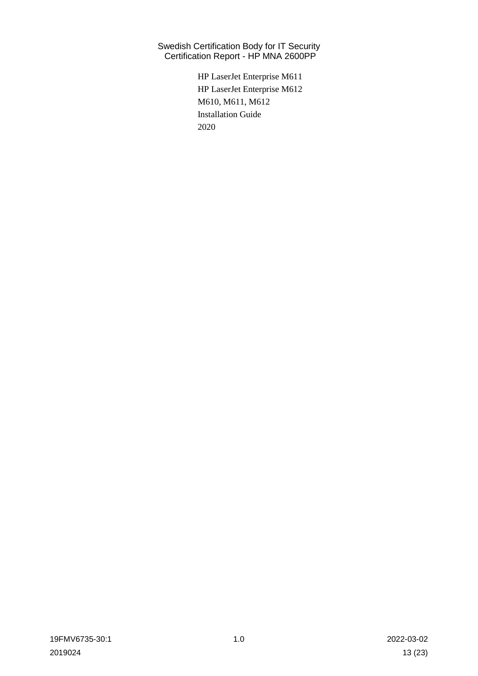> HP LaserJet Enterprise M611 HP LaserJet Enterprise M612 M610, M611, M612 Installation Guide 2020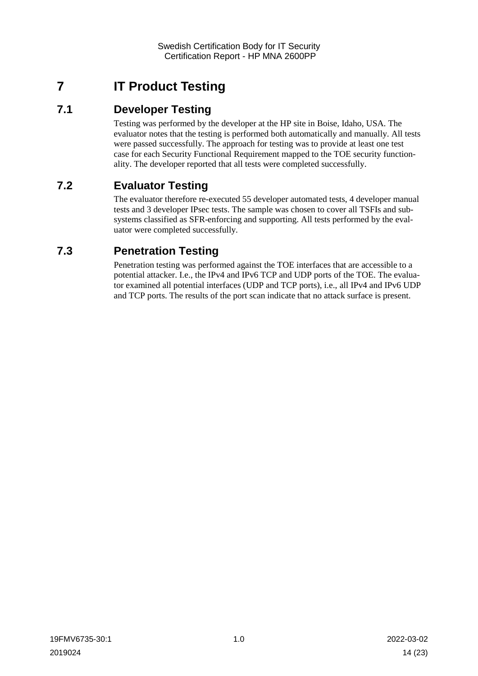# <span id="page-13-0"></span>**7 IT Product Testing**

### <span id="page-13-1"></span>**7.1 Developer Testing**

Testing was performed by the developer at the HP site in Boise, Idaho, USA. The evaluator notes that the testing is performed both automatically and manually. All tests were passed successfully. The approach for testing was to provide at least one test case for each Security Functional Requirement mapped to the TOE security functionality. The developer reported that all tests were completed successfully.

# <span id="page-13-2"></span>**7.2 Evaluator Testing**

The evaluator therefore re-executed 55 developer automated tests, 4 developer manual tests and 3 developer IPsec tests. The sample was chosen to cover all TSFIs and subsystems classified as SFR-enforcing and supporting. All tests performed by the evaluator were completed successfully.

# <span id="page-13-3"></span>**7.3 Penetration Testing**

Penetration testing was performed against the TOE interfaces that are accessible to a potential attacker. I.e., the IPv4 and IPv6 TCP and UDP ports of the TOE. The evaluator examined all potential interfaces (UDP and TCP ports), i.e., all IPv4 and IPv6 UDP and TCP ports. The results of the port scan indicate that no attack surface is present.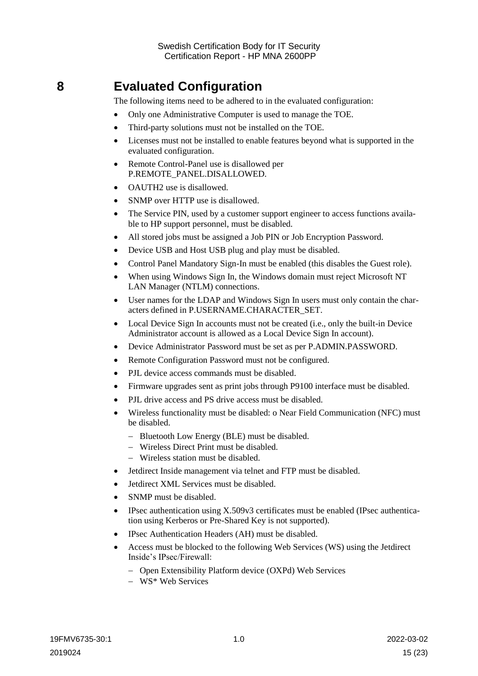# <span id="page-14-0"></span>**8 Evaluated Configuration**

The following items need to be adhered to in the evaluated configuration:

- Only one Administrative Computer is used to manage the TOE.
- Third-party solutions must not be installed on the TOE.
- Licenses must not be installed to enable features beyond what is supported in the evaluated configuration.
- Remote Control-Panel use is disallowed per P.REMOTE\_PANEL.DISALLOWED.
- OAUTH2 use is disallowed.
- SNMP over HTTP use is disallowed.
- The Service PIN, used by a customer support engineer to access functions available to HP support personnel, must be disabled.
- All stored jobs must be assigned a Job PIN or Job Encryption Password.
- Device USB and Host USB plug and play must be disabled.
- Control Panel Mandatory Sign-In must be enabled (this disables the Guest role).
- When using Windows Sign In, the Windows domain must reject Microsoft NT LAN Manager (NTLM) connections.
- User names for the LDAP and Windows Sign In users must only contain the characters defined in P.USERNAME.CHARACTER\_SET.
- Local Device Sign In accounts must not be created (i.e., only the built-in Device Administrator account is allowed as a Local Device Sign In account).
- Device Administrator Password must be set as per P.ADMIN.PASSWORD.
- Remote Configuration Password must not be configured.
- PJL device access commands must be disabled.
- Firmware upgrades sent as print jobs through P9100 interface must be disabled.
- PJL drive access and PS drive access must be disabled.
- Wireless functionality must be disabled: o Near Field Communication (NFC) must be disabled.
	- Bluetooth Low Energy (BLE) must be disabled.
	- Wireless Direct Print must be disabled.
	- Wireless station must be disabled.
- Jetdirect Inside management via telnet and FTP must be disabled.
- Jetdirect XML Services must be disabled.
- SNMP must be disabled.
- IPsec authentication using X.509v3 certificates must be enabled (IPsec authentication using Kerberos or Pre-Shared Key is not supported).
- IPsec Authentication Headers (AH) must be disabled.
- Access must be blocked to the following Web Services (WS) using the Jetdirect Inside's IPsec/Firewall:
	- Open Extensibility Platform device (OXPd) Web Services
	- WS<sup>\*</sup> Web Services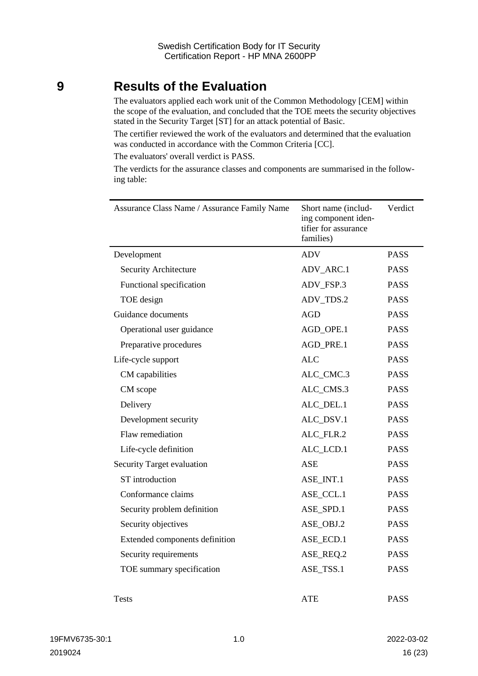# <span id="page-15-0"></span>**9 Results of the Evaluation**

The evaluators applied each work unit of the Common Methodology [CEM] within the scope of the evaluation, and concluded that the TOE meets the security objectives stated in the Security Target [ST] for an attack potential of Basic.

The certifier reviewed the work of the evaluators and determined that the evaluation was conducted in accordance with the Common Criteria [CC].

The evaluators' overall verdict is PASS.

The verdicts for the assurance classes and components are summarised in the following table:

| Assurance Class Name / Assurance Family Name | Short name (includ-<br>ing component iden-<br>tifier for assurance<br>families) | Verdict     |
|----------------------------------------------|---------------------------------------------------------------------------------|-------------|
| Development                                  | <b>ADV</b>                                                                      | <b>PASS</b> |
| Security Architecture                        | ADV_ARC.1                                                                       | <b>PASS</b> |
| Functional specification                     | ADV_FSP.3                                                                       | <b>PASS</b> |
| TOE design                                   | ADV_TDS.2                                                                       | <b>PASS</b> |
| Guidance documents                           | <b>AGD</b>                                                                      | <b>PASS</b> |
| Operational user guidance                    | AGD_OPE.1                                                                       | <b>PASS</b> |
| Preparative procedures                       | AGD_PRE.1                                                                       | <b>PASS</b> |
| Life-cycle support                           | <b>ALC</b>                                                                      | <b>PASS</b> |
| CM capabilities                              | ALC_CMC.3                                                                       | <b>PASS</b> |
| CM scope                                     | ALC_CMS.3                                                                       | <b>PASS</b> |
| Delivery                                     | ALC_DEL.1                                                                       | <b>PASS</b> |
| Development security                         | ALC_DSV.1                                                                       | <b>PASS</b> |
| Flaw remediation                             | ALC_FLR.2                                                                       | <b>PASS</b> |
| Life-cycle definition                        | ALC LCD.1                                                                       | <b>PASS</b> |
| Security Target evaluation                   | ASE                                                                             | <b>PASS</b> |
| ST introduction                              | ASE_INT.1                                                                       | <b>PASS</b> |
| Conformance claims                           | ASE_CCL.1                                                                       | <b>PASS</b> |
| Security problem definition                  | ASE_SPD.1                                                                       | <b>PASS</b> |
| Security objectives                          | ASE_OBJ.2                                                                       | <b>PASS</b> |
| Extended components definition               | ASE_ECD.1                                                                       | <b>PASS</b> |
| Security requirements                        | ASE_REQ.2                                                                       | <b>PASS</b> |
| TOE summary specification                    | ASE_TSS.1                                                                       | <b>PASS</b> |
| <b>Tests</b>                                 | ATE                                                                             | <b>PASS</b> |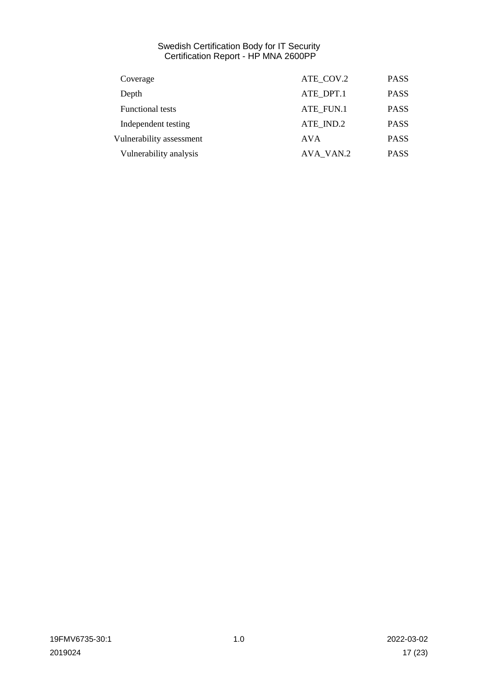| Coverage                 | ATE COV.2  | <b>PASS</b> |
|--------------------------|------------|-------------|
| Depth                    | ATE DPT.1  | <b>PASS</b> |
| <b>Functional tests</b>  | ATE FUN.1  | <b>PASS</b> |
| Independent testing      | ATE IND.2  | <b>PASS</b> |
| Vulnerability assessment | <b>AVA</b> | <b>PASS</b> |
| Vulnerability analysis   | AVA VAN.2  | <b>PASS</b> |
|                          |            |             |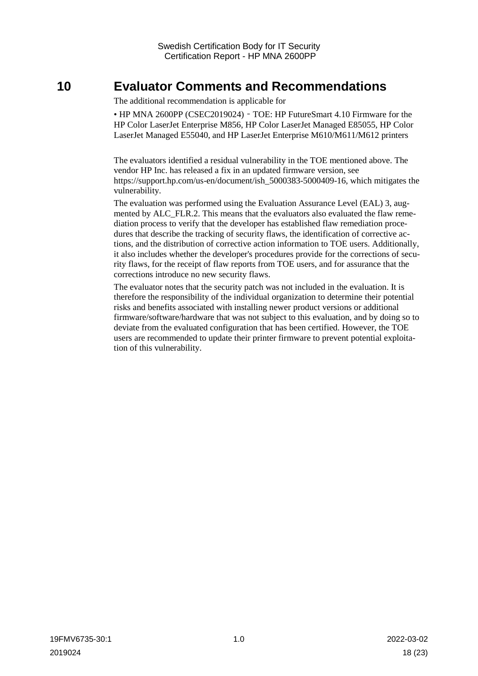# <span id="page-17-0"></span>**10 Evaluator Comments and Recommendations**

The additional recommendation is applicable for

• HP MNA 2600PP (CSEC2019024) – TOE: HP FutureSmart 4.10 Firmware for the HP Color LaserJet Enterprise M856, HP Color LaserJet Managed E85055, HP Color LaserJet Managed E55040, and HP LaserJet Enterprise M610/M611/M612 printers

The evaluators identified a residual vulnerability in the TOE mentioned above. The vendor HP Inc. has released a fix in an updated firmware version, see [https://support.hp.com/us-en/document/ish\\_5000383-5000409-16,](https://support.hp.com/us-en/document/ish_5000383-5000409-16) which mitigates the vulnerability.

The evaluation was performed using the Evaluation Assurance Level (EAL) 3, augmented by ALC\_FLR.2. This means that the evaluators also evaluated the flaw remediation process to verify that the developer has established flaw remediation procedures that describe the tracking of security flaws, the identification of corrective actions, and the distribution of corrective action information to TOE users. Additionally, it also includes whether the developer's procedures provide for the corrections of security flaws, for the receipt of flaw reports from TOE users, and for assurance that the corrections introduce no new security flaws.

The evaluator notes that the security patch was not included in the evaluation. It is therefore the responsibility of the individual organization to determine their potential risks and benefits associated with installing newer product versions or additional firmware/software/hardware that was not subject to this evaluation, and by doing so to deviate from the evaluated configuration that has been certified. However, the TOE users are recommended to update their printer firmware to prevent potential exploitation of this vulnerability.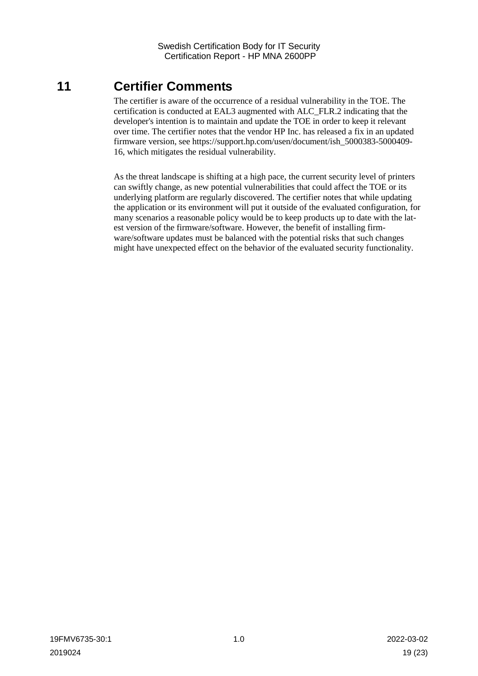# <span id="page-18-0"></span>**11 Certifier Comments**

The certifier is aware of the occurrence of a residual vulnerability in the TOE. The certification is conducted at EAL3 augmented with ALC\_FLR.2 indicating that the developer's intention is to maintain and update the TOE in order to keep it relevant over time. The certifier notes that the vendor HP Inc. has released a fix in an updated firmware version, see https://support.hp.com/usen/document/ish\_5000383-5000409- 16, which mitigates the residual vulnerability.

As the threat landscape is shifting at a high pace, the current security level of printers can swiftly change, as new potential vulnerabilities that could affect the TOE or its underlying platform are regularly discovered. The certifier notes that while updating the application or its environment will put it outside of the evaluated configuration, for many scenarios a reasonable policy would be to keep products up to date with the latest version of the firmware/software. However, the benefit of installing firmware/software updates must be balanced with the potential risks that such changes might have unexpected effect on the behavior of the evaluated security functionality.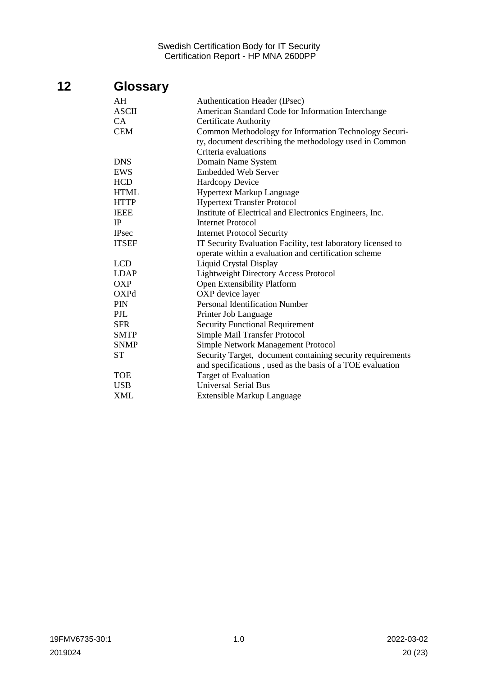# <span id="page-19-0"></span>**12 Glossary**

| AH                                                                           | Authentication Header (IPsec)                             |  |  |
|------------------------------------------------------------------------------|-----------------------------------------------------------|--|--|
| <b>ASCII</b>                                                                 | American Standard Code for Information Interchange        |  |  |
| CA                                                                           | <b>Certificate Authority</b>                              |  |  |
| CEM                                                                          | Common Methodology for Information Technology Securi-     |  |  |
|                                                                              | ty, document describing the methodology used in Common    |  |  |
|                                                                              | Criteria evaluations                                      |  |  |
| DNS                                                                          | Domain Name System                                        |  |  |
| EWS                                                                          | <b>Embedded Web Server</b>                                |  |  |
| <b>HCD</b>                                                                   | <b>Hardcopy Device</b>                                    |  |  |
| <b>HTML</b>                                                                  | <b>Hypertext Markup Language</b>                          |  |  |
| <b>HTTP</b>                                                                  | <b>Hypertext Transfer Protocol</b>                        |  |  |
| IEEE                                                                         | Institute of Electrical and Electronics Engineers, Inc.   |  |  |
| IP                                                                           | <b>Internet Protocol</b>                                  |  |  |
| <b>IPsec</b>                                                                 | <b>Internet Protocol Security</b>                         |  |  |
| <b>ITSEF</b><br>IT Security Evaluation Facility, test laboratory licensed to |                                                           |  |  |
|                                                                              | operate within a evaluation and certification scheme      |  |  |
| LCD                                                                          | <b>Liquid Crystal Display</b>                             |  |  |
| LDAP                                                                         | <b>Lightweight Directory Access Protocol</b>              |  |  |
| OXP                                                                          | Open Extensibility Platform                               |  |  |
| OXPd                                                                         | OXP device layer                                          |  |  |
| PIN                                                                          | <b>Personal Identification Number</b>                     |  |  |
| PJL                                                                          | Printer Job Language                                      |  |  |
| <b>SFR</b>                                                                   | <b>Security Functional Requirement</b>                    |  |  |
| <b>SMTP</b>                                                                  | Simple Mail Transfer Protocol                             |  |  |
| <b>SNMP</b>                                                                  | Simple Network Management Protocol                        |  |  |
| Security Target, document containing security requirements<br>ST             |                                                           |  |  |
|                                                                              | and specifications, used as the basis of a TOE evaluation |  |  |
| TOE                                                                          | Target of Evaluation                                      |  |  |
| USB                                                                          | <b>Universal Serial Bus</b>                               |  |  |
| XML                                                                          | Extensible Markup Language                                |  |  |
|                                                                              |                                                           |  |  |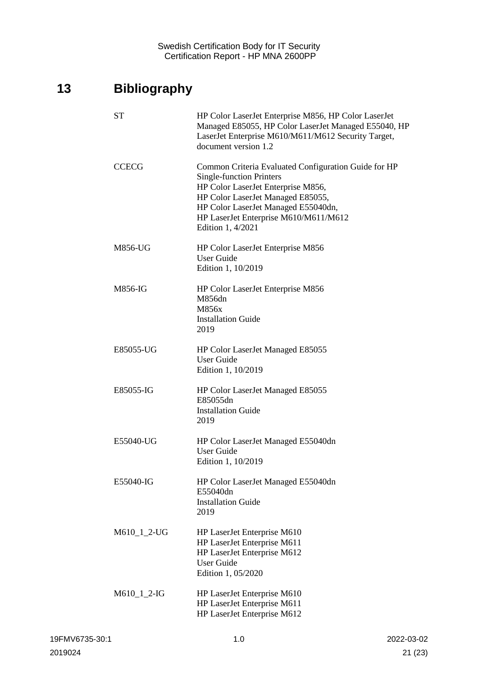# <span id="page-20-0"></span>**13 Bibliography**

| <b>ST</b>     | HP Color LaserJet Enterprise M856, HP Color LaserJet<br>Managed E85055, HP Color LaserJet Managed E55040, HP<br>LaserJet Enterprise M610/M611/M612 Security Target,<br>document version 1.2                                                                             |
|---------------|-------------------------------------------------------------------------------------------------------------------------------------------------------------------------------------------------------------------------------------------------------------------------|
| <b>CCECG</b>  | Common Criteria Evaluated Configuration Guide for HP<br><b>Single-function Printers</b><br>HP Color LaserJet Enterprise M856,<br>HP Color LaserJet Managed E85055,<br>HP Color LaserJet Managed E55040dn,<br>HP LaserJet Enterprise M610/M611/M612<br>Edition 1, 4/2021 |
| M856-UG       | HP Color LaserJet Enterprise M856<br><b>User Guide</b><br>Edition 1, 10/2019                                                                                                                                                                                            |
| M856-IG       | HP Color LaserJet Enterprise M856<br>M856dn<br>M856x<br><b>Installation Guide</b><br>2019                                                                                                                                                                               |
| E85055-UG     | HP Color LaserJet Managed E85055<br><b>User Guide</b><br>Edition 1, 10/2019                                                                                                                                                                                             |
| E85055-IG     | HP Color LaserJet Managed E85055<br>E85055dn<br><b>Installation Guide</b><br>2019                                                                                                                                                                                       |
| E55040-UG     | HP Color LaserJet Managed E55040dn<br><b>User Guide</b><br>Edition 1, 10/2019                                                                                                                                                                                           |
| E55040-IG     | HP Color LaserJet Managed E55040dn<br>E55040dn<br><b>Installation Guide</b><br>2019                                                                                                                                                                                     |
| M610_1_2-UG   | HP LaserJet Enterprise M610<br>HP LaserJet Enterprise M611<br>HP LaserJet Enterprise M612<br><b>User Guide</b><br>Edition 1, 05/2020                                                                                                                                    |
| $M610_1_2-HG$ | HP LaserJet Enterprise M610<br>HP LaserJet Enterprise M611<br>HP LaserJet Enterprise M612                                                                                                                                                                               |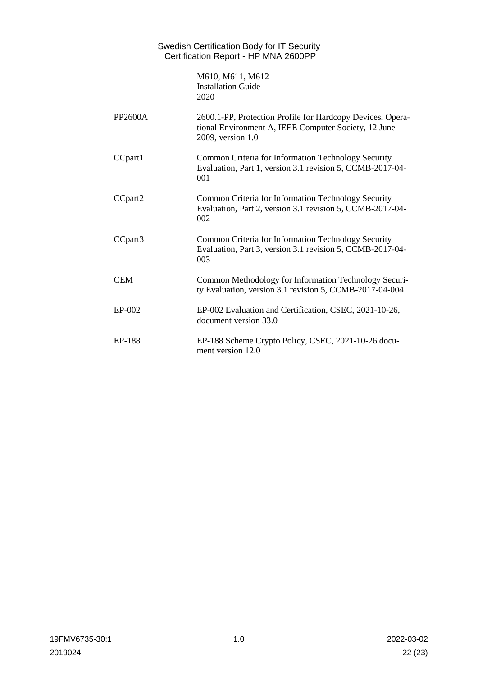|            | Swedish Certification Body for IT Security<br>Certification Report - HP MNA 2600PP                                                      |
|------------|-----------------------------------------------------------------------------------------------------------------------------------------|
|            | M610, M611, M612<br><b>Installation Guide</b><br>2020                                                                                   |
| PP2600A    | 2600.1-PP, Protection Profile for Hardcopy Devices, Opera-<br>tional Environment A, IEEE Computer Society, 12 June<br>2009, version 1.0 |
| CCpart1    | Common Criteria for Information Technology Security<br>Evaluation, Part 1, version 3.1 revision 5, CCMB-2017-04-<br>001                 |
| CCpart2    | Common Criteria for Information Technology Security<br>Evaluation, Part 2, version 3.1 revision 5, CCMB-2017-04-<br>002                 |
| CCpart3    | Common Criteria for Information Technology Security<br>Evaluation, Part 3, version 3.1 revision 5, CCMB-2017-04-<br>003                 |
| <b>CEM</b> | Common Methodology for Information Technology Securi-<br>ty Evaluation, version 3.1 revision 5, CCMB-2017-04-004                        |
| EP-002     | EP-002 Evaluation and Certification, CSEC, 2021-10-26,<br>document version 33.0                                                         |
| EP-188     | EP-188 Scheme Crypto Policy, CSEC, 2021-10-26 docu-<br>ment version 12.0                                                                |